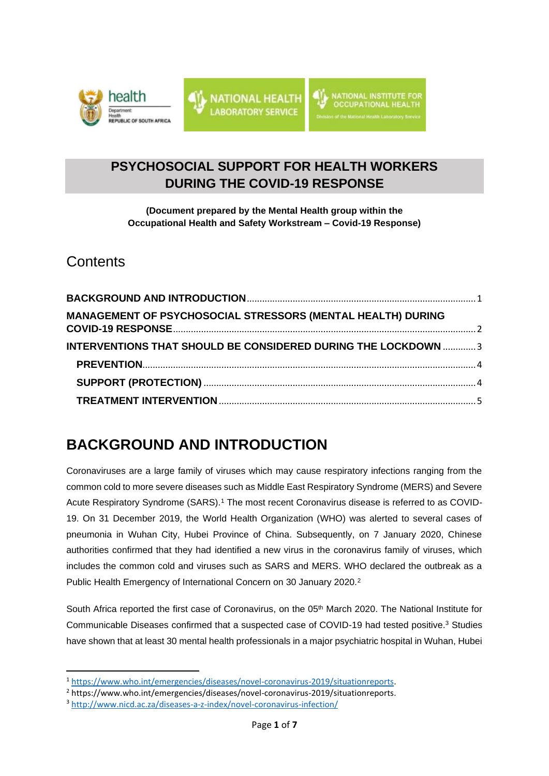



## **PSYCHOSOCIAL SUPPORT FOR HEALTH WORKERS DURING THE COVID-19 RESPONSE**

**(Document prepared by the Mental Health group within the Occupational Health and Safety Workstream – Covid-19 Response)**

## **Contents**

| MANAGEMENT OF PSYCHOSOCIAL STRESSORS (MENTAL HEALTH) DURING          |  |
|----------------------------------------------------------------------|--|
| <b>INTERVENTIONS THAT SHOULD BE CONSIDERED DURING THE LOCKDOWN 3</b> |  |
|                                                                      |  |
|                                                                      |  |
|                                                                      |  |

## <span id="page-0-0"></span>**BACKGROUND AND INTRODUCTION**

Coronaviruses are a large family of viruses which may cause respiratory infections ranging from the common cold to more severe diseases such as Middle East Respiratory Syndrome (MERS) and Severe Acute Respiratory Syndrome (SARS).<sup>1</sup> The most recent Coronavirus disease is referred to as COVID-19. On 31 December 2019, the World Health Organization (WHO) was alerted to several cases of pneumonia in Wuhan City, Hubei Province of China. Subsequently, on 7 January 2020, Chinese authorities confirmed that they had identified a new virus in the coronavirus family of viruses, which includes the common cold and viruses such as SARS and MERS. WHO declared the outbreak as a Public Health Emergency of International Concern on 30 January 2020.<sup>2</sup>

South Africa reported the first case of Coronavirus, on the 05<sup>th</sup> March 2020. The National Institute for Communicable Diseases confirmed that a suspected case of COVID-19 had tested positive. <sup>3</sup> Studies have shown that at least 30 mental health professionals in a major psychiatric hospital in Wuhan, Hubei

<sup>1</sup> [https://www.who.int/emergencies/diseases/novel-coronavirus-2019/situationreports.](https://www.who.int/emergencies/diseases/novel-coronavirus-2019/situationreports)

<sup>2</sup> https://www.who.int/emergencies/diseases/novel-coronavirus-2019/situationreports.

<sup>3</sup> <http://www.nicd.ac.za/diseases-a-z-index/novel-coronavirus-infection/>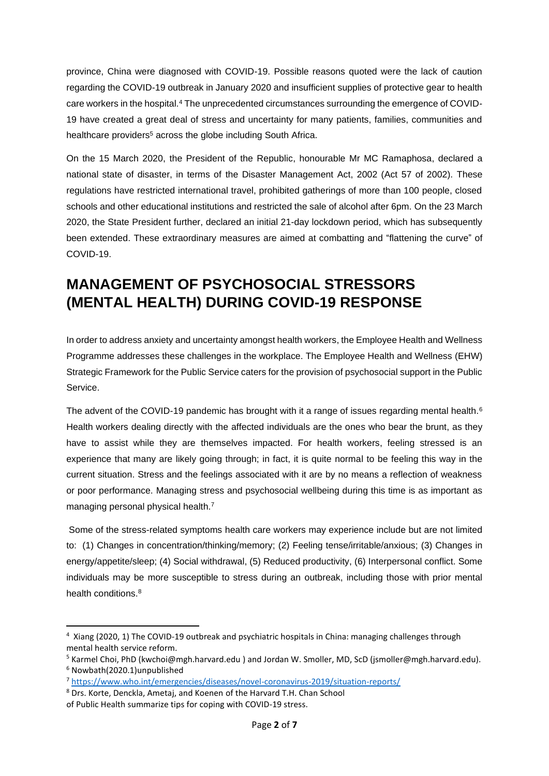province, China were diagnosed with COVID-19. Possible reasons quoted were the lack of caution regarding the COVID-19 outbreak in January 2020 and insufficient supplies of protective gear to health care workers in the hospital.<sup>4</sup> The unprecedented circumstances surrounding the emergence of COVID-19 have created a great deal of stress and uncertainty for many patients, families, communities and healthcare providers<sup>5</sup> across the globe including South Africa.

On the 15 March 2020, the President of the Republic, honourable Mr MC Ramaphosa, declared a national state of disaster, in terms of the Disaster Management Act, 2002 (Act 57 of 2002). These regulations have restricted international travel, prohibited gatherings of more than 100 people, closed schools and other educational institutions and restricted the sale of alcohol after 6pm. On the 23 March 2020, the State President further, declared an initial 21-day lockdown period, which has subsequently been extended. These extraordinary measures are aimed at combatting and "flattening the curve" of COVID-19.

# <span id="page-1-0"></span>**MANAGEMENT OF PSYCHOSOCIAL STRESSORS (MENTAL HEALTH) DURING COVID-19 RESPONSE**

In order to address anxiety and uncertainty amongst health workers, the Employee Health and Wellness Programme addresses these challenges in the workplace. The Employee Health and Wellness (EHW) Strategic Framework for the Public Service caters for the provision of psychosocial support in the Public Service.

The advent of the COVID-19 pandemic has brought with it a range of issues regarding mental health.<sup>6</sup> Health workers dealing directly with the affected individuals are the ones who bear the brunt, as they have to assist while they are themselves impacted. For health workers, feeling stressed is an experience that many are likely going through; in fact, it is quite normal to be feeling this way in the current situation. Stress and the feelings associated with it are by no means a reflection of weakness or poor performance. Managing stress and psychosocial wellbeing during this time is as important as managing personal physical health.<sup>7</sup>

Some of the stress-related symptoms health care workers may experience include but are not limited to: (1) Changes in concentration/thinking/memory; (2) Feeling tense/irritable/anxious; (3) Changes in energy/appetite/sleep; (4) Social withdrawal, (5) Reduced productivity, (6) Interpersonal conflict. Some individuals may be more susceptible to stress during an outbreak, including those with prior mental health conditions. 8

<sup>&</sup>lt;sup>4</sup> Xiang (2020, 1) The COVID-19 outbreak and psychiatric hospitals in China: managing challenges through mental health service reform.

<sup>5</sup> Karmel Choi, PhD (kwchoi@mgh.harvard.edu ) and Jordan W. Smoller, MD, ScD (jsmoller@mgh.harvard.edu).

<sup>6</sup> Nowbath(2020.1)unpublished

<sup>7</sup> <https://www.who.int/emergencies/diseases/novel-coronavirus-2019/situation-reports/>

<sup>8</sup> Drs. Korte, Denckla, Ametaj, and Koenen of the Harvard T.H. Chan School

of Public Health summarize tips for coping with COVID-19 stress.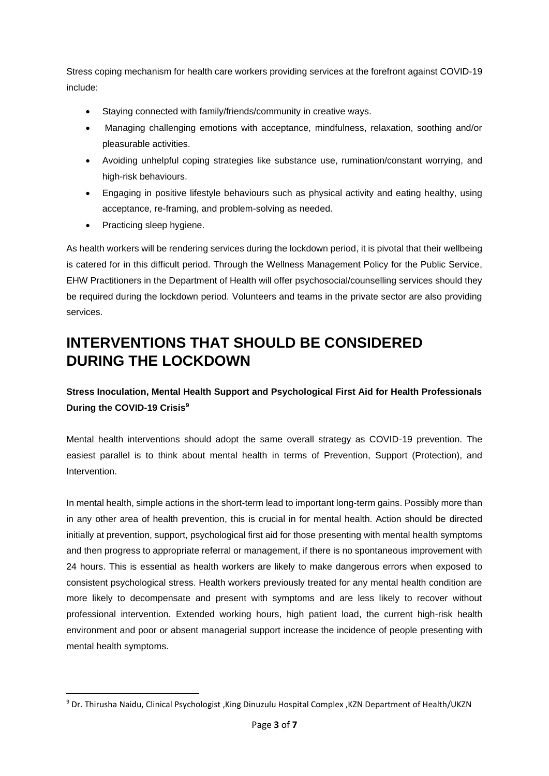Stress coping mechanism for health care workers providing services at the forefront against COVID-19 include:

- Staying connected with family/friends/community in creative ways.
- Managing challenging emotions with acceptance, mindfulness, relaxation, soothing and/or pleasurable activities.
- Avoiding unhelpful coping strategies like substance use, rumination/constant worrying, and high-risk behaviours.
- Engaging in positive lifestyle behaviours such as physical activity and eating healthy, using acceptance, re-framing, and problem-solving as needed.
- Practicing sleep hygiene.

As health workers will be rendering services during the lockdown period, it is pivotal that their wellbeing is catered for in this difficult period. Through the Wellness Management Policy for the Public Service, EHW Practitioners in the Department of Health will offer psychosocial/counselling services should they be required during the lockdown period. Volunteers and teams in the private sector are also providing services.

# <span id="page-2-0"></span>**INTERVENTIONS THAT SHOULD BE CONSIDERED DURING THE LOCKDOWN**

**Stress Inoculation, Mental Health Support and Psychological First Aid for Health Professionals During the COVID-19 Crisis<sup>9</sup>**

Mental health interventions should adopt the same overall strategy as COVID-19 prevention. The easiest parallel is to think about mental health in terms of Prevention, Support (Protection), and Intervention.

In mental health, simple actions in the short-term lead to important long-term gains. Possibly more than in any other area of health prevention, this is crucial in for mental health. Action should be directed initially at prevention, support, psychological first aid for those presenting with mental health symptoms and then progress to appropriate referral or management, if there is no spontaneous improvement with 24 hours. This is essential as health workers are likely to make dangerous errors when exposed to consistent psychological stress. Health workers previously treated for any mental health condition are more likely to decompensate and present with symptoms and are less likely to recover without professional intervention. Extended working hours, high patient load, the current high-risk health environment and poor or absent managerial support increase the incidence of people presenting with mental health symptoms.

<sup>9</sup> Dr. Thirusha Naidu, Clinical Psychologist ,King Dinuzulu Hospital Complex ,KZN Department of Health/UKZN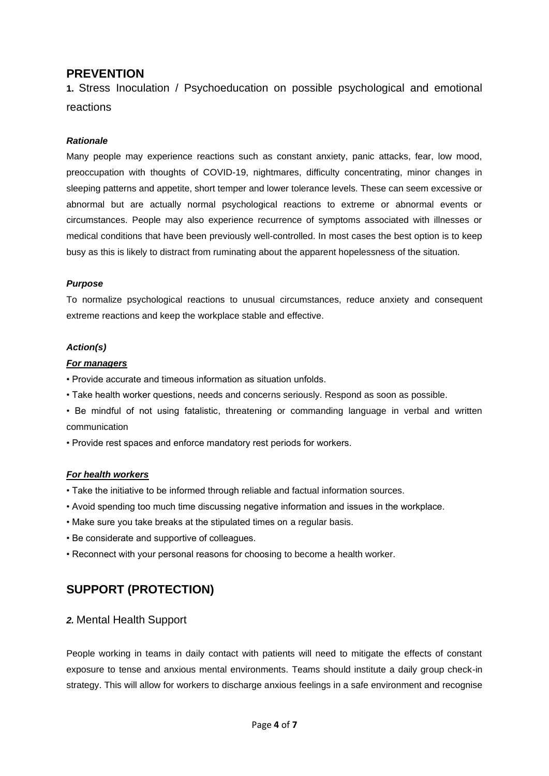### <span id="page-3-0"></span>**PREVENTION**

**1.** Stress Inoculation / Psychoeducation on possible psychological and emotional reactions

#### *Rationale*

Many people may experience reactions such as constant anxiety, panic attacks, fear, low mood, preoccupation with thoughts of COVID-19, nightmares, difficulty concentrating, minor changes in sleeping patterns and appetite, short temper and lower tolerance levels. These can seem excessive or abnormal but are actually normal psychological reactions to extreme or abnormal events or circumstances. People may also experience recurrence of symptoms associated with illnesses or medical conditions that have been previously well-controlled. In most cases the best option is to keep busy as this is likely to distract from ruminating about the apparent hopelessness of the situation.

#### *Purpose*

To normalize psychological reactions to unusual circumstances, reduce anxiety and consequent extreme reactions and keep the workplace stable and effective.

#### *Action(s)*

#### *For managers*

- Provide accurate and timeous information as situation unfolds.
- Take health worker questions, needs and concerns seriously. Respond as soon as possible.
- Be mindful of not using fatalistic, threatening or commanding language in verbal and written communication
- Provide rest spaces and enforce mandatory rest periods for workers.

#### *For health workers*

- Take the initiative to be informed through reliable and factual information sources.
- Avoid spending too much time discussing negative information and issues in the workplace.
- Make sure you take breaks at the stipulated times on a regular basis.
- Be considerate and supportive of colleagues.
- Reconnect with your personal reasons for choosing to become a health worker.

### <span id="page-3-1"></span>**SUPPORT (PROTECTION)**

#### *2.* Mental Health Support

People working in teams in daily contact with patients will need to mitigate the effects of constant exposure to tense and anxious mental environments. Teams should institute a daily group check-in strategy. This will allow for workers to discharge anxious feelings in a safe environment and recognise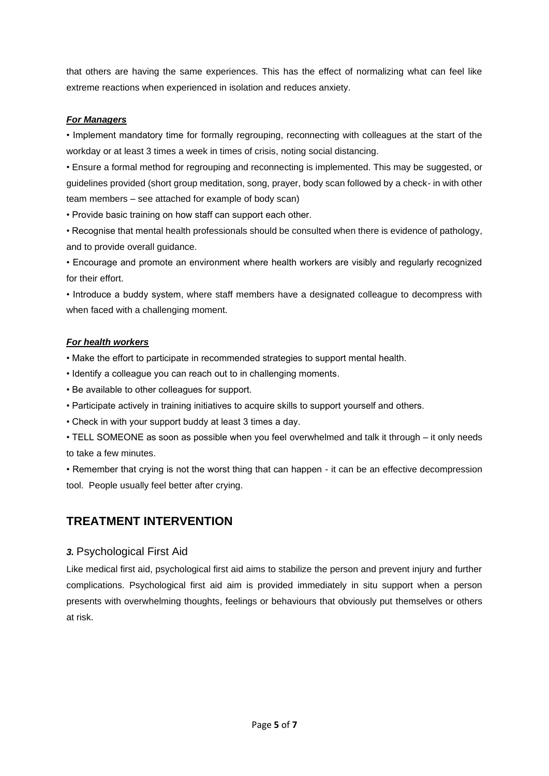that others are having the same experiences. This has the effect of normalizing what can feel like extreme reactions when experienced in isolation and reduces anxiety.

#### *For Managers*

• Implement mandatory time for formally regrouping, reconnecting with colleagues at the start of the workday or at least 3 times a week in times of crisis, noting social distancing.

• Ensure a formal method for regrouping and reconnecting is implemented. This may be suggested, or guidelines provided (short group meditation, song, prayer, body scan followed by a check- in with other team members – see attached for example of body scan)

• Provide basic training on how staff can support each other.

• Recognise that mental health professionals should be consulted when there is evidence of pathology, and to provide overall guidance.

• Encourage and promote an environment where health workers are visibly and regularly recognized for their effort.

• Introduce a buddy system, where staff members have a designated colleague to decompress with when faced with a challenging moment.

#### *For health workers*

- Make the effort to participate in recommended strategies to support mental health.
- Identify a colleague you can reach out to in challenging moments.
- Be available to other colleagues for support.
- Participate actively in training initiatives to acquire skills to support yourself and others.
- Check in with your support buddy at least 3 times a day.
- TELL SOMEONE as soon as possible when you feel overwhelmed and talk it through it only needs to take a few minutes.

• Remember that crying is not the worst thing that can happen - it can be an effective decompression tool. People usually feel better after crying.

### <span id="page-4-0"></span>**TREATMENT INTERVENTION**

#### *3.* Psychological First Aid

Like medical first aid, psychological first aid aims to stabilize the person and prevent injury and further complications. Psychological first aid aim is provided immediately in situ support when a person presents with overwhelming thoughts, feelings or behaviours that obviously put themselves or others at risk.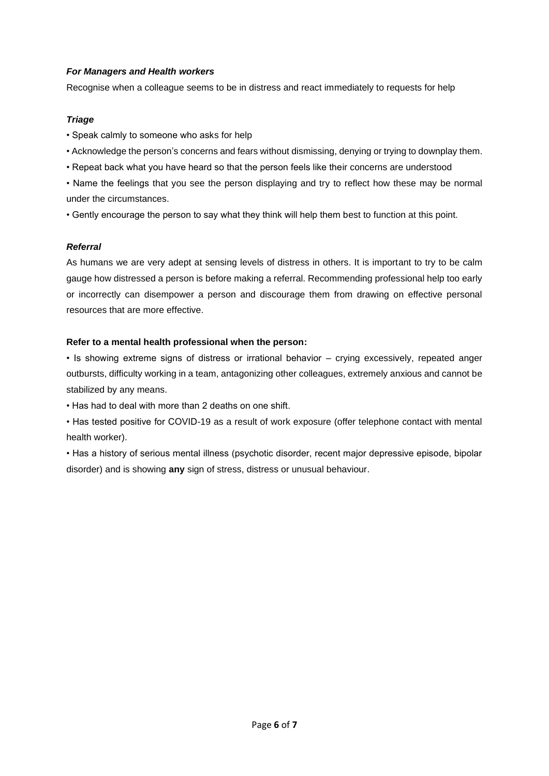#### *For Managers and Health workers*

Recognise when a colleague seems to be in distress and react immediately to requests for help

#### *Triage*

- Speak calmly to someone who asks for help
- Acknowledge the person's concerns and fears without dismissing, denying or trying to downplay them.
- Repeat back what you have heard so that the person feels like their concerns are understood

• Name the feelings that you see the person displaying and try to reflect how these may be normal under the circumstances.

• Gently encourage the person to say what they think will help them best to function at this point.

#### *Referral*

As humans we are very adept at sensing levels of distress in others. It is important to try to be calm gauge how distressed a person is before making a referral. Recommending professional help too early or incorrectly can disempower a person and discourage them from drawing on effective personal resources that are more effective.

#### **Refer to a mental health professional when the person:**

• Is showing extreme signs of distress or irrational behavior – crying excessively, repeated anger outbursts, difficulty working in a team, antagonizing other colleagues, extremely anxious and cannot be stabilized by any means.

• Has had to deal with more than 2 deaths on one shift.

• Has tested positive for COVID-19 as a result of work exposure (offer telephone contact with mental health worker).

• Has a history of serious mental illness (psychotic disorder, recent major depressive episode, bipolar disorder) and is showing **any** sign of stress, distress or unusual behaviour.